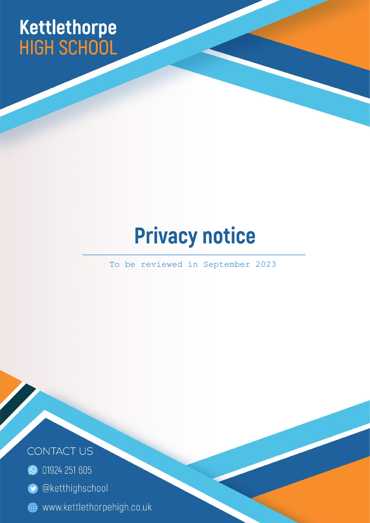# Kettlethorpe<br>HIGH SCHOOL

# **Privacy notice**

To be reviewed in September 2023

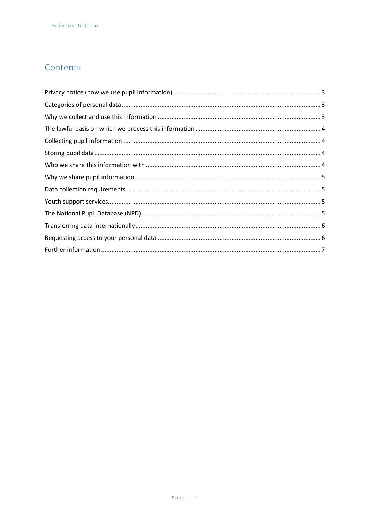# Contents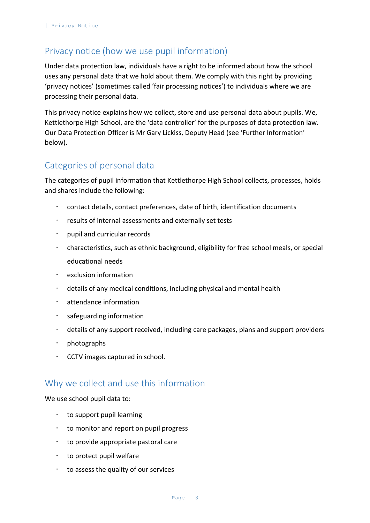# <span id="page-2-0"></span>Privacy notice (how we use pupil information)

Under data protection law, individuals have a right to be informed about how the school uses any personal data that we hold about them. We comply with this right by providing 'privacy notices' (sometimes called 'fair processing notices') to individuals where we are processing their personal data.

This privacy notice explains how we collect, store and use personal data about pupils. We, Kettlethorpe High School, are the 'data controller' for the purposes of data protection law. Our Data Protection Officer is Mr Gary Lickiss, Deputy Head (see 'Further Information' below).

# <span id="page-2-1"></span>Categories of personal data

The categories of pupil information that Kettlethorpe High School collects, processes, holds and shares include the following:

- contact details, contact preferences, date of birth, identification documents
- results of internal assessments and externally set tests
- pupil and curricular records
- characteristics, such as ethnic background, eligibility for free school meals, or special educational needs
- exclusion information
- details of any medical conditions, including physical and mental health
- attendance information
- $\cdot$  safeguarding information
- details of any support received, including care packages, plans and support providers
- $\cdot$  photographs
- $\cdot$  CCTV images captured in school.

#### <span id="page-2-2"></span>Why we collect and use this information

We use school pupil data to:

- $\cdot$  to support pupil learning
- $\cdot$  to monitor and report on pupil progress
- $\cdot$  to provide appropriate pastoral care
- $\cdot$  to protect pupil welfare
- $\cdot$  to assess the quality of our services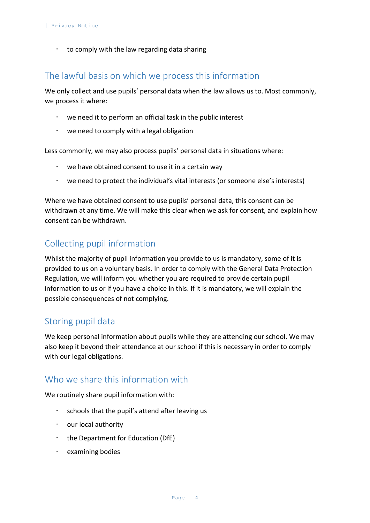$\cdot$  to comply with the law regarding data sharing

#### <span id="page-3-0"></span>The lawful basis on which we process this information

We only collect and use pupils' personal data when the law allows us to. Most commonly, we process it where:

- we need it to perform an official task in the public interest
- we need to comply with a legal obligation

Less commonly, we may also process pupils' personal data in situations where:

- we have obtained consent to use it in a certain way
- we need to protect the individual's vital interests (or someone else's interests)

Where we have obtained consent to use pupils' personal data, this consent can be withdrawn at any time. We will make this clear when we ask for consent, and explain how consent can be withdrawn.

# <span id="page-3-1"></span>Collecting pupil information

Whilst the majority of pupil information you provide to us is mandatory, some of it is provided to us on a voluntary basis. In order to comply with the General Data Protection Regulation, we will inform you whether you are required to provide certain pupil information to us or if you have a choice in this. If it is mandatory, we will explain the possible consequences of not complying.

#### <span id="page-3-2"></span>Storing pupil data

We keep personal information about pupils while they are attending our school. We may also keep it beyond their attendance at our school if this is necessary in order to comply with our legal obligations.

#### <span id="page-3-3"></span>Who we share this information with

We routinely share pupil information with:

- schools that the pupil's attend after leaving us
- our local authority
- $\cdot$  the Department for Education (DfE)
- $\cdot$  examining bodies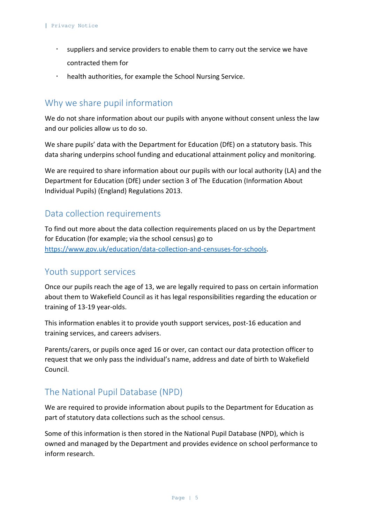- suppliers and service providers to enable them to carry out the service we have contracted them for
- health authorities, for example the School Nursing Service.

#### <span id="page-4-0"></span>Why we share pupil information

We do not share information about our pupils with anyone without consent unless the law and our policies allow us to do so.

We share pupils' data with the Department for Education (DfE) on a statutory basis. This data sharing underpins school funding and educational attainment policy and monitoring.

We are required to share information about our pupils with our local authority (LA) and the Department for Education (DfE) under section 3 of The Education (Information About Individual Pupils) (England) Regulations 2013.

#### <span id="page-4-1"></span>Data collection requirements

To find out more about the data collection requirements placed on us by the Department for Education (for example; via the school census) go to [https://www.gov.uk/education/data-collection-and-censuses-for-schools.](https://www.gov.uk/education/data-collection-and-censuses-for-schools)

#### <span id="page-4-2"></span>Youth support services

Once our pupils reach the age of 13, we are legally required to pass on certain information about them to Wakefield Council as it has legal responsibilities regarding the education or training of 13-19 year-olds.

This information enables it to provide youth support services, post-16 education and training services, and careers advisers.

Parents/carers, or pupils once aged 16 or over, can contact our data protection officer to request that we only pass the individual's name, address and date of birth to Wakefield Council.

#### <span id="page-4-3"></span>The National Pupil Database (NPD)

We are required to provide information about pupils to the Department for Education as part of statutory data collections such as the school census.

Some of this information is then stored in the National Pupil Database (NPD), which is owned and managed by the Department and provides evidence on school performance to inform research.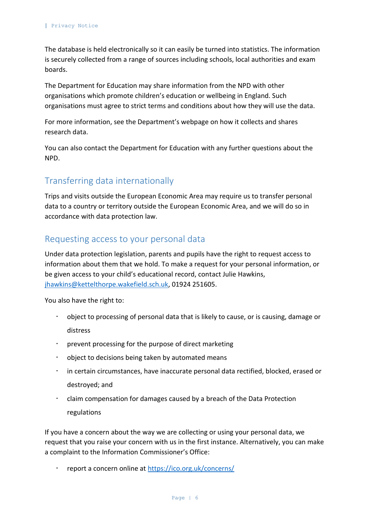The database is held electronically so it can easily be turned into statistics. The information is securely collected from a range of sources including schools, local authorities and exam boards.

The Department for Education may share information from the NPD with other organisations which promote children's education or wellbeing in England. Such organisations must agree to strict terms and conditions about how they will use the data.

For more information, see the Department's webpage on how it collects and shares research data.

You can also contact the Department for Education with any further questions about the NPD.

# <span id="page-5-0"></span>Transferring data internationally

Trips and visits outside the European Economic Area may require us to transfer personal data to a country or territory outside the European Economic Area, and we will do so in accordance with data protection law.

### <span id="page-5-1"></span>Requesting access to your personal data

Under data protection legislation, parents and pupils have the right to request access to information about them that we hold. To make a request for your personal information, or be given access to your child's educational record, contact Julie Hawkins, [jhawkins@kettelthorpe.wakefield.sch.uk,](mailto:jhawkins@kettelthorpe.wakefield.sch.uk) 01924 251605.

You also have the right to:

- object to processing of personal data that is likely to cause, or is causing, damage or distress
- prevent processing for the purpose of direct marketing
- object to decisions being taken by automated means
- in certain circumstances, have inaccurate personal data rectified, blocked, erased or destroyed; and
- claim compensation for damages caused by a breach of the Data Protection regulations

If you have a concern about the way we are collecting or using your personal data, we request that you raise your concern with us in the first instance. Alternatively, you can make a complaint to the Information Commissioner's Office:

report a concern online at<https://ico.org.uk/concerns/>